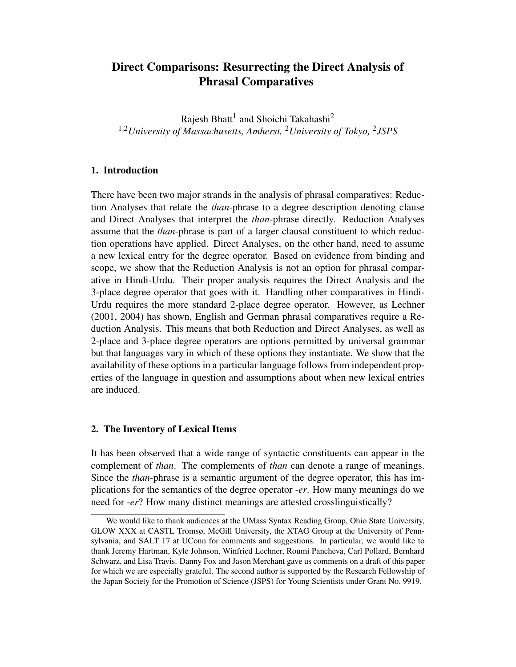# Direct Comparisons: Resurrecting the Direct Analysis of Phrasal Comparatives

Rajesh Bhatt<sup>1</sup> and Shoichi Takahashi<sup>2</sup> <sup>1,2</sup>University of Massachusetts, Amherst, <sup>2</sup>University of Tokyo, <sup>2</sup>JSPS

## 1. Introduction

There have been two major strands in the analysis of phrasal comparatives: Reduction Analyses that relate the *than*-phrase to a degree description denoting clause and Direct Analyses that interpret the *than*-phrase directly. Reduction Analyses assume that the *than*-phrase is part of a larger clausal constituent to which reduction operations have applied. Direct Analyses, on the other hand, need to assume a new lexical entry for the degree operator. Based on evidence from binding and scope, we show that the Reduction Analysis is not an option for phrasal comparative in Hindi-Urdu. Their proper analysis requires the Direct Analysis and the 3-place degree operator that goes with it. Handling other comparatives in Hindi-Urdu requires the more standard 2-place degree operator. However, as Lechner (2001, 2004) has shown, English and German phrasal comparatives require a Reduction Analysis. This means that both Reduction and Direct Analyses, as well as 2-place and 3-place degree operators are options permitted by universal grammar but that languages vary in which of these options they instantiate. We show that the availability of these options in a particular language follows from independent properties of the language in question and assumptions about when new lexical entries are induced.

### 2. The Inventory of Lexical Items

It has been observed that a wide range of syntactic constituents can appear in the complement of *than*. The complements of *than* can denote a range of meanings. Since the *than*-phrase is a semantic argument of the degree operator, this has implications for the semantics of the degree operator *-er*. How many meanings do we need for *-er*? How many distinct meanings are attested crosslinguistically?

We would like to thank audiences at the UMass Syntax Reading Group, Ohio State University, GLOW XXX at CASTL Tromsø, McGill University, the XTAG Group at the University of Pennsylvania, and SALT 17 at UConn for comments and suggestions. In particular, we would like to thank Jeremy Hartman, Kyle Johnson, Winfried Lechner, Roumi Pancheva, Carl Pollard, Bernhard Schwarz, and Lisa Travis. Danny Fox and Jason Merchant gave us comments on a draft of this paper for which we are especially grateful. The second author is supported by the Research Fellowship of the Japan Society for the Promotion of Science (JSPS) for Young Scientists under Grant No. 9919.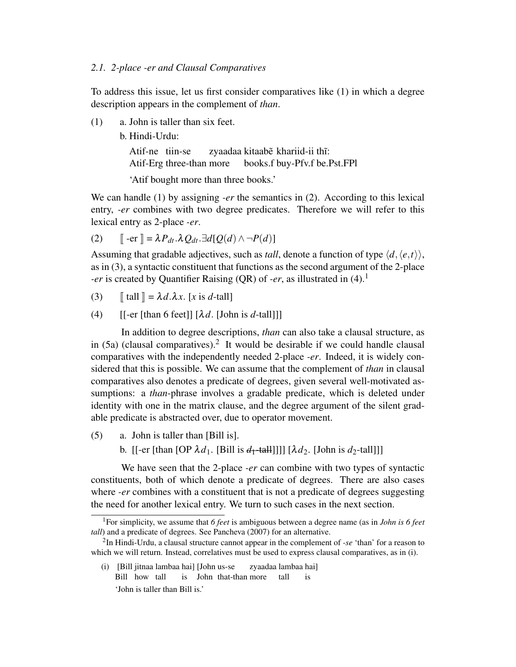#### *2.1. 2-place -er and Clausal Comparatives*

To address this issue, let us first consider comparatives like (1) in which a degree description appears in the complement of *than*.

- (1) a. John is taller than six feet.
	- b. Hindi-Urdu:

Atif-ne tiin-se Atif-Erg three-than more zyaadaa kitaabe khariid-ii thĩ: books.f buy-Pfv.f be.Pst.FPl

'Atif bought more than three books.'

We can handle (1) by assigning *-er* the semantics in (2). According to this lexical entry, *-er* combines with two degree predicates. Therefore we will refer to this lexical entry as 2-place *-er*.

(2) 
$$
\llbracket -\mathrm{er} \rrbracket = \lambda P_{dt}.\lambda Q_{dt}.\exists d[Q(d) \wedge \neg P(d)]
$$

Assuming that gradable adjectives, such as *tall*, denote a function of type  $\langle d, \langle e, t \rangle \rangle$ , as in (3), a syntactic constituent that functions as the second argument of the 2-place *-er* is created by Quantifier Raising (QR) of *-er*, as illustrated in (4).<sup>1</sup>

- (3)  $\llbracket \text{ tall} \rrbracket = \lambda d \cdot \lambda x$ . [*x* is *d*-tall]
- (4)  $[[-er]$  [than 6 feet]]  $[\lambda d.$  [John is *d*-tall]]]

In addition to degree descriptions, *than* can also take a clausal structure, as in  $(5a)$  (clausal comparatives).<sup>2</sup> It would be desirable if we could handle clausal comparatives with the independently needed 2-place *-er*. Indeed, it is widely considered that this is possible. We can assume that the complement of *than* in clausal comparatives also denotes a predicate of degrees, given several well-motivated assumptions: a *than*-phrase involves a gradable predicate, which is deleted under identity with one in the matrix clause, and the degree argument of the silent gradable predicate is abstracted over, due to operator movement.

- (5) a. John is taller than [Bill is].
	- b.  $\left[ \left[ -\frac{\text{er}}{\text{t}} \left[ \text{than } [OP \lambda d_1, [Bill is d_1 \text{tall}]] \right] \right] \left[ \lambda d_2, [John is d_2 \text{tall}]] \right] \right]$

We have seen that the 2-place *-er* can combine with two types of syntactic constituents, both of which denote a predicate of degrees. There are also cases where *-er* combines with a constituent that is not a predicate of degrees suggesting the need for another lexical entry. We turn to such cases in the next section.

(i) [Bill jitnaa lambaa hai] [John us-se Bill how tall is John that-than more zyaadaa lambaa hai] tall is 'John is taller than Bill is.'

<sup>1</sup>For simplicity, we assume that *6 feet* is ambiguous between a degree name (as in *John is 6 feet tall*) and a predicate of degrees. See Pancheva (2007) for an alternative.

<sup>2</sup> In Hindi-Urdu, a clausal structure cannot appear in the complement of *-se* 'than' for a reason to which we will return. Instead, correlatives must be used to express clausal comparatives, as in (i).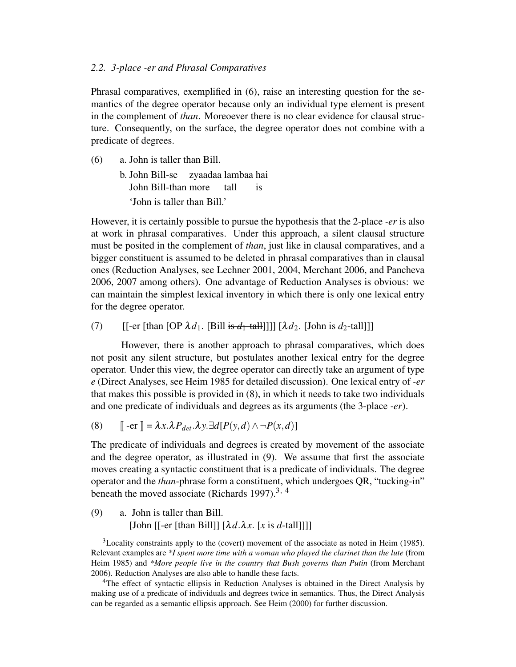### *2.2. 3-place -er and Phrasal Comparatives*

Phrasal comparatives, exemplified in (6), raise an interesting question for the semantics of the degree operator because only an individual type element is present in the complement of *than*. Moreoever there is no clear evidence for clausal structure. Consequently, on the surface, the degree operator does not combine with a predicate of degrees.

(6) a. John is taller than Bill.

b. John Bill-se zyaadaa lambaa hai John Bill-than more tall is 'John is taller than Bill.'

However, it is certainly possible to pursue the hypothesis that the 2-place *-er* is also at work in phrasal comparatives. Under this approach, a silent clausal structure must be posited in the complement of *than*, just like in clausal comparatives, and a bigger constituent is assumed to be deleted in phrasal comparatives than in clausal ones (Reduction Analyses, see Lechner 2001, 2004, Merchant 2006, and Pancheva 2006, 2007 among others). One advantage of Reduction Analyses is obvious: we can maintain the simplest lexical inventory in which there is only one lexical entry for the degree operator.

(7) [[-er [than [OP  $\lambda d_1$ . [Bill is  $d_1$ -tall]]]  $[\lambda d_2]$ . [John is  $d_2$ -tall]]]

However, there is another approach to phrasal comparatives, which does not posit any silent structure, but postulates another lexical entry for the degree operator. Under this view, the degree operator can directly take an argument of type *e* (Direct Analyses, see Heim 1985 for detailed discussion). One lexical entry of *-er* that makes this possible is provided in (8), in which it needs to take two individuals and one predicate of individuals and degrees as its arguments (the 3-place *-er*).

(8) 
$$
\llbracket -\text{er} \rrbracket = \lambda x. \lambda P_{det}. \lambda y. \exists d[P(y, d) \land \neg P(x, d)]
$$

The predicate of individuals and degrees is created by movement of the associate and the degree operator, as illustrated in (9). We assume that first the associate moves creating a syntactic constituent that is a predicate of individuals. The degree operator and the *than*-phrase form a constituent, which undergoes QR, "tucking-in" beneath the moved associate (Richards 1997).<sup>3, 4</sup>

(9) a. John is taller than Bill. [John  $\left[ \left[ -er \right]$ [than Bill]]  $\left[ \lambda d. \lambda x. \right]$  [x is *d*-tall]]]]

 $3$ Locality constraints apply to the (covert) movement of the associate as noted in Heim (1985). Relevant examples are *\*I spent more time with a woman who played the clarinet than the lute* (from Heim 1985) and *\*More people live in the country that Bush governs than Putin* (from Merchant 2006). Reduction Analyses are also able to handle these facts.

<sup>4</sup>The effect of syntactic ellipsis in Reduction Analyses is obtained in the Direct Analysis by making use of a predicate of individuals and degrees twice in semantics. Thus, the Direct Analysis can be regarded as a semantic ellipsis approach. See Heim (2000) for further discussion.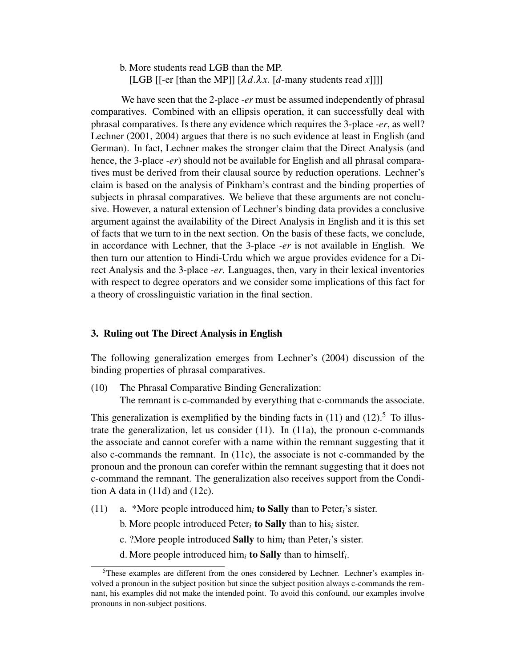b. More students read LGB than the MP. [LGB [[-er [than the MP]]  $[\lambda d.\lambda x. [d$ -many students read *x*]]]]

We have seen that the 2-place *-er* must be assumed independently of phrasal comparatives. Combined with an ellipsis operation, it can successfully deal with phrasal comparatives. Is there any evidence which requires the 3-place *-er*, as well? Lechner (2001, 2004) argues that there is no such evidence at least in English (and German). In fact, Lechner makes the stronger claim that the Direct Analysis (and hence, the 3-place *-er*) should not be available for English and all phrasal comparatives must be derived from their clausal source by reduction operations. Lechner's claim is based on the analysis of Pinkham's contrast and the binding properties of subjects in phrasal comparatives. We believe that these arguments are not conclusive. However, a natural extension of Lechner's binding data provides a conclusive argument against the availability of the Direct Analysis in English and it is this set of facts that we turn to in the next section. On the basis of these facts, we conclude, in accordance with Lechner, that the 3-place *-er* is not available in English. We then turn our attention to Hindi-Urdu which we argue provides evidence for a Direct Analysis and the 3-place *-er*. Languages, then, vary in their lexical inventories with respect to degree operators and we consider some implications of this fact for a theory of crosslinguistic variation in the final section.

# 3. Ruling out The Direct Analysis in English

The following generalization emerges from Lechner's (2004) discussion of the binding properties of phrasal comparatives.

(10) The Phrasal Comparative Binding Generalization:

The remnant is c-commanded by everything that c-commands the associate.

This generalization is exemplified by the binding facts in  $(11)$  and  $(12)$ <sup>5</sup>. To illustrate the generalization, let us consider (11). In (11a), the pronoun c-commands the associate and cannot corefer with a name within the remnant suggesting that it also c-commands the remnant. In (11c), the associate is not c-commanded by the pronoun and the pronoun can corefer within the remnant suggesting that it does not c-command the remnant. The generalization also receives support from the Condition A data in (11d) and (12c).

- (11) a. \*More people introduced him*<sup>i</sup>* to Sally than to Peter*i*'s sister.
	- b. More people introduced Peter*<sup>i</sup>* to Sally than to his*<sup>i</sup>* sister.
	- c. ?More people introduced Sally to him*<sup>i</sup>* than Peter*i*'s sister.
	- d. More people introduced him*<sup>i</sup>* to Sally than to himself*<sup>i</sup>* .

<sup>5</sup>These examples are different from the ones considered by Lechner. Lechner's examples involved a pronoun in the subject position but since the subject position always c-commands the remnant, his examples did not make the intended point. To avoid this confound, our examples involve pronouns in non-subject positions.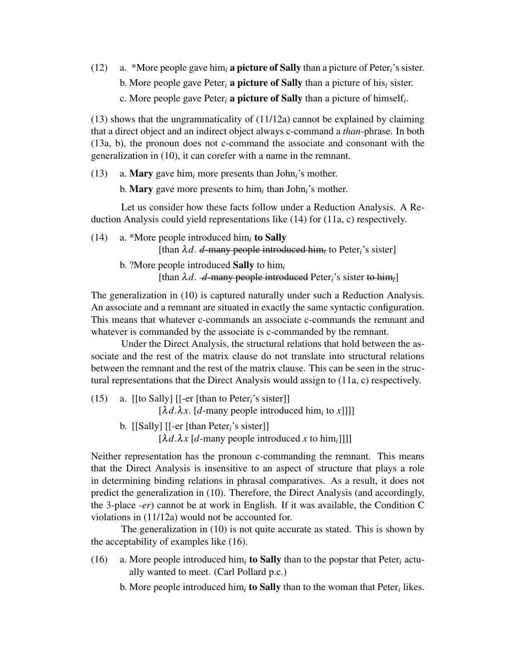(12) a. \*More people gave him*<sup>i</sup>* a picture of Sally than a picture of Peter*i*'s sister. b. More people gave Peter<sub>i</sub> **a picture of Sally** than a picture of his<sub>*i*</sub> sister. c. More people gave Peter*<sup>i</sup>* a picture of Sally than a picture of himself*<sup>i</sup>* .

(13) shows that the ungrammaticality of (11/12a) cannot be explained by claiming that a direct object and an indirect object always c-command a *than*-phrase. In both (13a, b), the pronoun does not c-command the associate and consonant with the generalization in (10), it can corefer with a name in the remnant.

(13) a. Mary gave him*<sup>i</sup>* more presents than John*i*'s mother.

b. Mary gave more presents to him*<sup>i</sup>* than John*i*'s mother.

Let us consider how these facts follow under a Reduction Analysis. A Reduction Analysis could yield representations like (14) for (11a, c) respectively.

- (14) a. \*More people introduced him*<sup>i</sup>* to Sally [than λ*d*. *d*-many people introduced him*<sup>i</sup>* to Peter*i*'s sister]
	- b. ?More people introduced Sally to him*<sup>i</sup>* [than  $\lambda d$ . *-d*-many people introduced Peter<sub>i</sub>'s sister to him<sub>*i*</sub>]</sub>

The generalization in (10) is captured naturally under such a Reduction Analysis. An associate and a remnant are situated in exactly the same syntactic configuration. This means that whatever c-commands an associate c-commands the remnant and whatever is commanded by the associate is c-commanded by the remnant.

Under the Direct Analysis, the structural relations that hold between the associate and the rest of the matrix clause do not translate into structural relations between the remnant and the rest of the matrix clause. This can be seen in the structural representations that the Direct Analysis would assign to (11a, c) respectively.

- (15) a. [[to Sally] [[-er [than to Peter*i*'s sister]]  $[\lambda d.\lambda x. [d$ -many people introduced him<sub>*i*</sub> to *x*]]]
	- b. [[Sally] [[-er [than Peter*i*'s sister]]  $[\lambda d.\lambda x$  [*d*-many people introduced *x* to him<sub>*i*</sub>]]]]

Neither representation has the pronoun c-commanding the remnant. This means that the Direct Analysis is insensitive to an aspect of structure that plays a role in determining binding relations in phrasal comparatives. As a result, it does not predict the generalization in (10). Therefore, the Direct Analysis (and accordingly, the 3-place *-er*) cannot be at work in English. If it was available, the Condition C violations in (11/12a) would not be accounted for.

The generalization in (10) is not quite accurate as stated. This is shown by the acceptability of examples like (16).

(16) a. More people introduced him<sub>i</sub> to Sally than to the popstar that Peter<sub>i</sub> actually wanted to meet. (Carl Pollard p.c.)

b. More people introduced him*<sup>i</sup>* to Sally than to the woman that Peter*<sup>i</sup>* likes.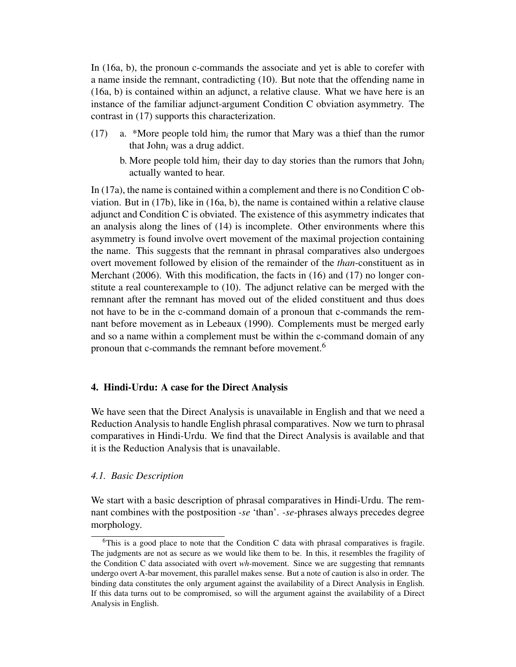In (16a, b), the pronoun c-commands the associate and yet is able to corefer with a name inside the remnant, contradicting (10). But note that the offending name in (16a, b) is contained within an adjunct, a relative clause. What we have here is an instance of the familiar adjunct-argument Condition C obviation asymmetry. The contrast in (17) supports this characterization.

- $(17)$  a. \*More people told him<sub>i</sub> the rumor that Mary was a thief than the rumor that John*<sup>i</sup>* was a drug addict.
	- b. More people told him*<sup>i</sup>* their day to day stories than the rumors that John*<sup>i</sup>* actually wanted to hear.

In (17a), the name is contained within a complement and there is no Condition C obviation. But in (17b), like in (16a, b), the name is contained within a relative clause adjunct and Condition C is obviated. The existence of this asymmetry indicates that an analysis along the lines of (14) is incomplete. Other environments where this asymmetry is found involve overt movement of the maximal projection containing the name. This suggests that the remnant in phrasal comparatives also undergoes overt movement followed by elision of the remainder of the *than*-constituent as in Merchant (2006). With this modification, the facts in (16) and (17) no longer constitute a real counterexample to (10). The adjunct relative can be merged with the remnant after the remnant has moved out of the elided constituent and thus does not have to be in the c-command domain of a pronoun that c-commands the remnant before movement as in Lebeaux (1990). Complements must be merged early and so a name within a complement must be within the c-command domain of any pronoun that c-commands the remnant before movement.<sup>6</sup>

## 4. Hindi-Urdu: A case for the Direct Analysis

We have seen that the Direct Analysis is unavailable in English and that we need a Reduction Analysis to handle English phrasal comparatives. Now we turn to phrasal comparatives in Hindi-Urdu. We find that the Direct Analysis is available and that it is the Reduction Analysis that is unavailable.

#### *4.1. Basic Description*

We start with a basic description of phrasal comparatives in Hindi-Urdu. The remnant combines with the postposition *-se* 'than'. *-se*-phrases always precedes degree morphology.

 $6$ This is a good place to note that the Condition C data with phrasal comparatives is fragile. The judgments are not as secure as we would like them to be. In this, it resembles the fragility of the Condition C data associated with overt *wh*-movement. Since we are suggesting that remnants undergo overt A-bar movement, this parallel makes sense. But a note of caution is also in order. The binding data constitutes the only argument against the availability of a Direct Analysis in English. If this data turns out to be compromised, so will the argument against the availability of a Direct Analysis in English.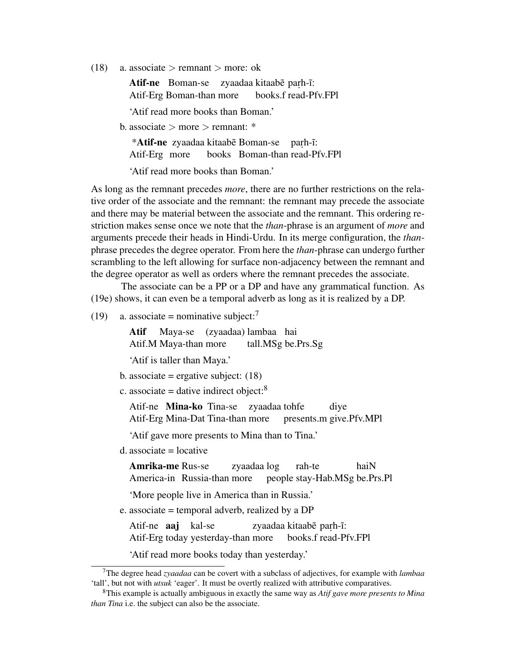(18) a. associate  $>$  remnant  $>$  more: ok

Atif-ne Boman-se zyaadaa kitaabe parh-i: Atif-Erg Boman-than more books.f read-Pfv.FPl

'Atif read more books than Boman.'

b. associate  $>$  more  $>$  remnant:  $*$ 

\*Atif-ne zyaadaa kitaabẽ Boman-se parh-ĩ: Atif-Erg more books Boman-than read-Pfv.FPl

'Atif read more books than Boman.'

As long as the remnant precedes *more*, there are no further restrictions on the relative order of the associate and the remnant: the remnant may precede the associate and there may be material between the associate and the remnant. This ordering restriction makes sense once we note that the *than*-phrase is an argument of *more* and arguments precede their heads in Hindi-Urdu. In its merge configuration, the *than*phrase precedes the degree operator. From here the *than*-phrase can undergo further scrambling to the left allowing for surface non-adjacency between the remnant and the degree operator as well as orders where the remnant precedes the associate.

The associate can be a PP or a DP and have any grammatical function. As (19e) shows, it can even be a temporal adverb as long as it is realized by a DP.

(19) a. associate = nominative subject: $\frac{7}{7}$ 

Atif Atif.M Maya-than more Maya-se (zyaadaa) lambaa hai tall.MSg be.Prs.Sg

'Atif is taller than Maya.'

b. associate = ergative subject:  $(18)$ 

c. associate = dative indirect object: $8$ 

Atif-ne Mina-ko Tina-se zyaadaa tohfe Atif-Erg Mina-Dat Tina-than more presents.m give.Pfv.MPl diye

'Atif gave more presents to Mina than to Tina.'

d. associate = locative

Amrika-me Rus-se America-in Russia-than more zyaadaa log people stay-Hab.MSg be.Prs.Pl rah-te haiN

'More people live in America than in Russia.'

e. associate = temporal adverb, realized by a DP

Atif-ne **aaj** kal-se Atif-Erg today yesterday-than more zyaadaa kitaab<mark>ẽ paṛh-ĩ:</mark> books.f read-Pfv.FPl

'Atif read more books today than yesterday.'

<sup>7</sup>The degree head *zyaadaa* can be covert with a subclass of adjectives, for example with *lambaa* 'tall', but not with *utsuk* 'eager'. It must be overtly realized with attributive comparatives.

<sup>8</sup>This example is actually ambiguous in exactly the same way as *Atif gave more presents to Mina than Tina* i.e. the subject can also be the associate.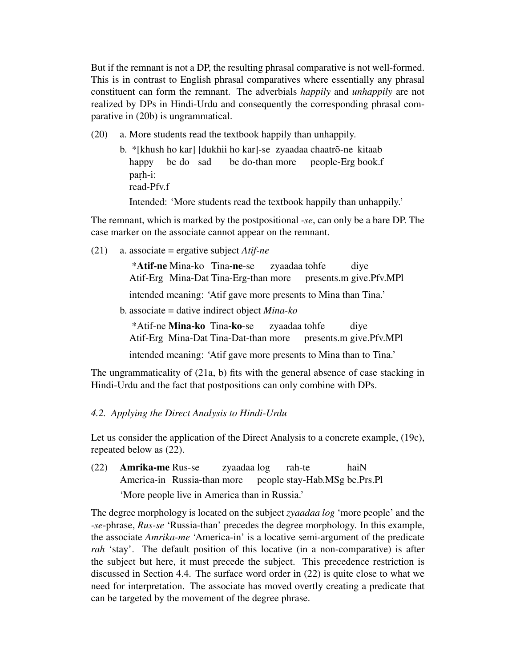But if the remnant is not a DP, the resulting phrasal comparative is not well-formed. This is in contrast to English phrasal comparatives where essentially any phrasal constituent can form the remnant. The adverbials *happily* and *unhappily* are not realized by DPs in Hindi-Urdu and consequently the corresponding phrasal comparative in (20b) is ungrammatical.

- (20) a. More students read the textbook happily than unhappily.
	- b. \*[khush ho kar] [dukhii ho kar]-se zyaadaa chaatrõ-ne kitaab happy be do sad be do-than more people-Erg book.f parh-i: read-Pfv.f

Intended: 'More students read the textbook happily than unhappily.'

The remnant, which is marked by the postpositional *-se*, can only be a bare DP. The case marker on the associate cannot appear on the remnant.

(21) a. associate = ergative subject *Atif-ne*

\*Atif-ne Mina-ko Tina-ne-se Atif-Erg Mina-Dat Tina-Erg-than more zyaadaa tohfe presents.m give.Pfv.MPl diye

intended meaning: 'Atif gave more presents to Mina than Tina.'

b. associate = dative indirect object *Mina-ko*

\*Atif-ne Mina-ko Tina-ko-se Atif-Erg Mina-Dat Tina-Dat-than more zyaadaa tohfe presents.m give.Pfv.MPl diye

intended meaning: 'Atif gave more presents to Mina than to Tina.'

The ungrammaticality of (21a, b) fits with the general absence of case stacking in Hindi-Urdu and the fact that postpositions can only combine with DPs.

### *4.2. Applying the Direct Analysis to Hindi-Urdu*

Let us consider the application of the Direct Analysis to a concrete example, (19c), repeated below as (22).

(22) Amrika-me Rus-se America-in Russia-than more zyaadaa log people stay-Hab.MSg be.Prs.Pl rah-te haiN 'More people live in America than in Russia.'

The degree morphology is located on the subject *zyaadaa log* 'more people' and the *-se*-phrase, *Rus-se* 'Russia-than' precedes the degree morphology. In this example, the associate *Amrika-me* 'America-in' is a locative semi-argument of the predicate *rah* 'stay'. The default position of this locative (in a non-comparative) is after the subject but here, it must precede the subject. This precedence restriction is discussed in Section 4.4. The surface word order in (22) is quite close to what we need for interpretation. The associate has moved overtly creating a predicate that can be targeted by the movement of the degree phrase.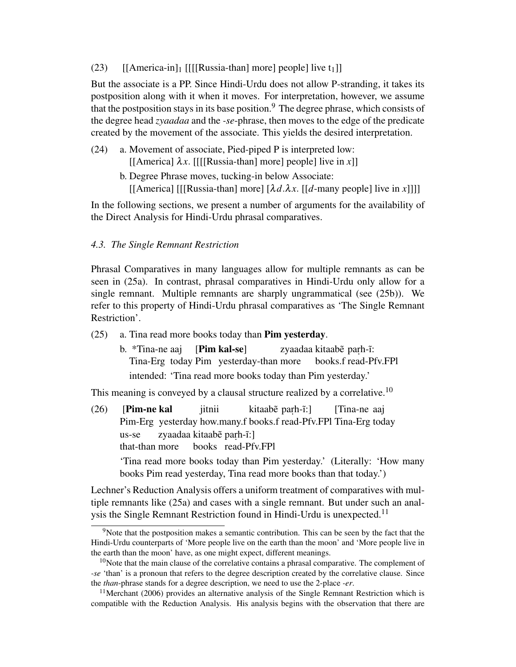(23)  $\left[ \left[ \text{America-in} \right]_1 \right] \left[ \left[ \left[ \text{Russia-than} \right] \text{ more} \right] \text{ people} \right] \text{ live } t_1 \right]$ 

But the associate is a PP. Since Hindi-Urdu does not allow P-stranding, it takes its postposition along with it when it moves. For interpretation, however, we assume that the postposition stays in its base position.<sup>9</sup> The degree phrase, which consists of the degree head *zyaadaa* and the *-se*-phrase, then moves to the edge of the predicate created by the movement of the associate. This yields the desired interpretation.

- (24) a. Movement of associate, Pied-piped P is interpreted low: [[America]  $\lambda x$ . [[[[Russia-than] more] people] live in *x*]]
	- b. Degree Phrase moves, tucking-in below Associate: [[America] [[[Russia-than] more]  $[\lambda d.\lambda x$ . [[d-many people] live in *x*]]]]

In the following sections, we present a number of arguments for the availability of the Direct Analysis for Hindi-Urdu phrasal comparatives.

# *4.3. The Single Remnant Restriction*

Phrasal Comparatives in many languages allow for multiple remnants as can be seen in (25a). In contrast, phrasal comparatives in Hindi-Urdu only allow for a single remnant. Multiple remnants are sharply ungrammatical (see (25b)). We refer to this property of Hindi-Urdu phrasal comparatives as 'The Single Remnant Restriction'.

- (25) a. Tina read more books today than Pim yesterday.
	- b. \*Tina-ne aaj Tina-Erg today Pim yesterday-than more [Pim kal-se] zyaadaa kitaab<mark>ẽ</mark> paṛh-ĩ: books.f read-Pfv.FPl intended: 'Tina read more books today than Pim yesterday.'

This meaning is conveyed by a clausal structure realized by a correlative.<sup>10</sup>

(26) [Pim-ne kal Pim-Erg yesterday how.many.f books.f read-Pfv.FPl Tina-Erg today jitnii kitaab<mark>ẽ paṛh-ĩ:]</mark> [Tina-ne aaj us-se that-than more zyaadaa kitaab<mark>ẽ paṛh-ĩ:]</mark> books read-Pfv.FPl 'Tina read more books today than Pim yesterday.' (Literally: 'How many books Pim read yesterday, Tina read more books than that today.')

Lechner's Reduction Analysis offers a uniform treatment of comparatives with multiple remnants like (25a) and cases with a single remnant. But under such an analysis the Single Remnant Restriction found in Hindi-Urdu is unexpected.<sup>11</sup>

<sup>&</sup>lt;sup>9</sup>Note that the postposition makes a semantic contribution. This can be seen by the fact that the Hindi-Urdu counterparts of 'More people live on the earth than the moon' and 'More people live in the earth than the moon' have, as one might expect, different meanings.

 $10$ Note that the main clause of the correlative contains a phrasal comparative. The complement of *-se* 'than' is a pronoun that refers to the degree description created by the correlative clause. Since the *than*-phrase stands for a degree description, we need to use the 2-place *-er*.

<sup>&</sup>lt;sup>11</sup> Merchant (2006) provides an alternative analysis of the Single Remnant Restriction which is compatible with the Reduction Analysis. His analysis begins with the observation that there are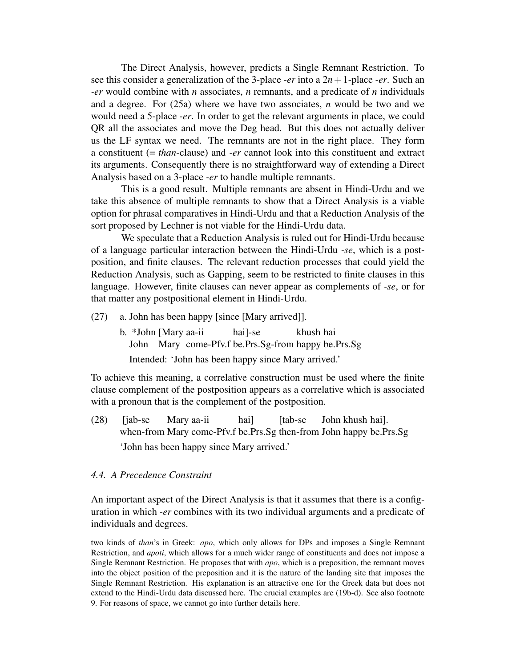The Direct Analysis, however, predicts a Single Remnant Restriction. To see this consider a generalization of the 3-place *-er* into a 2*n*+1-place *-er*. Such an *-er* would combine with *n* associates, *n* remnants, and a predicate of *n* individuals and a degree. For (25a) where we have two associates, *n* would be two and we would need a 5-place *-er*. In order to get the relevant arguments in place, we could QR all the associates and move the Deg head. But this does not actually deliver us the LF syntax we need. The remnants are not in the right place. They form a constituent (= *than*-clause) and *-er* cannot look into this constituent and extract its arguments. Consequently there is no straightforward way of extending a Direct Analysis based on a 3-place *-er* to handle multiple remnants.

This is a good result. Multiple remnants are absent in Hindi-Urdu and we take this absence of multiple remnants to show that a Direct Analysis is a viable option for phrasal comparatives in Hindi-Urdu and that a Reduction Analysis of the sort proposed by Lechner is not viable for the Hindi-Urdu data.

We speculate that a Reduction Analysis is ruled out for Hindi-Urdu because of a language particular interaction between the Hindi-Urdu *-se*, which is a postposition, and finite clauses. The relevant reduction processes that could yield the Reduction Analysis, such as Gapping, seem to be restricted to finite clauses in this language. However, finite clauses can never appear as complements of *-se*, or for that matter any postpositional element in Hindi-Urdu.

- (27) a. John has been happy [since [Mary arrived]].
	- b. \*John [Mary aa-ii John Mary come-Pfv.f be.Prs.Sg-from happy be.Prs.Sg hai]-se khush hai Intended: 'John has been happy since Mary arrived.'

To achieve this meaning, a correlative construction must be used where the finite clause complement of the postposition appears as a correlative which is associated with a pronoun that is the complement of the postposition.

 $(28)$  [jab-se] when-from Mary come-Pfv.f be.Prs.Sg then-from John happy be.Prs.Sg Mary aa-ii hai] [tab-se John khush hai]. 'John has been happy since Mary arrived.'

## *4.4. A Precedence Constraint*

An important aspect of the Direct Analysis is that it assumes that there is a configuration in which *-er* combines with its two individual arguments and a predicate of individuals and degrees.

two kinds of *than*'s in Greek: *apo*, which only allows for DPs and imposes a Single Remnant Restriction, and *apoti*, which allows for a much wider range of constituents and does not impose a Single Remnant Restriction. He proposes that with *apo*, which is a preposition, the remnant moves into the object position of the preposition and it is the nature of the landing site that imposes the Single Remnant Restriction. His explanation is an attractive one for the Greek data but does not extend to the Hindi-Urdu data discussed here. The crucial examples are (19b-d). See also footnote 9. For reasons of space, we cannot go into further details here.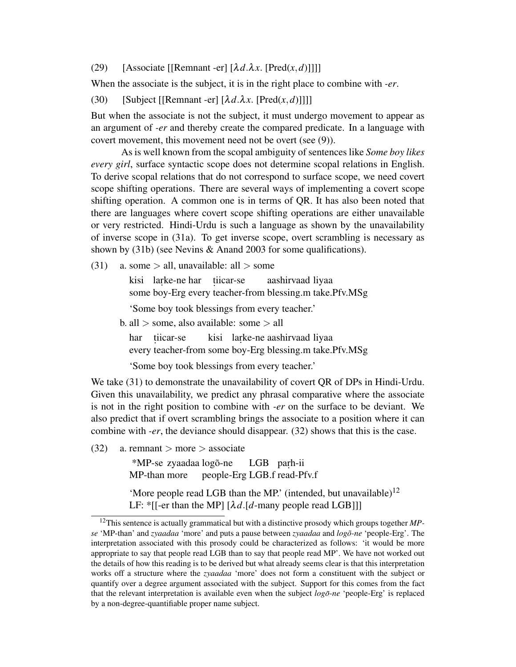(29) [Associate [[Remnant -er]  $[\lambda d.\lambda x$ . [Pred(*x*,*d*)]]]]

When the associate is the subject, it is in the right place to combine with *-er*.

(30) [Subject [[Remnant -er]  $[\lambda d.\lambda x$ . [Pred $(x, d)$ ]]]]

But when the associate is not the subject, it must undergo movement to appear as an argument of *-er* and thereby create the compared predicate. In a language with covert movement, this movement need not be overt (see (9)).

As is well known from the scopal ambiguity of sentences like *Some boy likes every girl*, surface syntactic scope does not determine scopal relations in English. To derive scopal relations that do not correspond to surface scope, we need covert scope shifting operations. There are several ways of implementing a covert scope shifting operation. A common one is in terms of QR. It has also been noted that there are languages where covert scope shifting operations are either unavailable or very restricted. Hindi-Urdu is such a language as shown by the unavailability of inverse scope in (31a). To get inverse scope, overt scrambling is necessary as shown by (31b) (see Nevins & Anand 2003 for some qualifications).

(31) a. some  $>$  all, unavailable: all  $>$  some

kisi larke-ne har tiicar-se some boy-Erg every teacher-from blessing.m take.Pfv.MSg aashirvaad liyaa

'Some boy took blessings from every teacher.'

b. all > some, also available: some > all

har t . iicar-se every teacher-from some boy-Erg blessing.m take.Pfv.MSg kisi larke-ne aashirvaad liyaa

'Some boy took blessings from every teacher.'

We take (31) to demonstrate the unavailability of covert QR of DPs in Hindi-Urdu. Given this unavailability, we predict any phrasal comparative where the associate is not in the right position to combine with *-er* on the surface to be deviant. We also predict that if overt scrambling brings the associate to a position where it can combine with *-er*, the deviance should disappear. (32) shows that this is the case.

 $(32)$  a. remnant > more > associate

\*MP-se zyaadaa logõ-ne MP-than more people-Erg LGB.f read-Pfv.f LGB paṛh-ii

'More people read LGB than the MP.' (intended, but unavailable)<sup>12</sup> LF: \*[[-er than the MP] [λ*d*.[*d*-many people read LGB]]]

<sup>12</sup>This sentence is actually grammatical but with a distinctive prosody which groups together *MPse* 'MP-than' and *zyaadaa* 'more' and puts a pause between *zyaadaa* and *logo-ne ˜* 'people-Erg'. The interpretation associated with this prosody could be characterized as follows: 'it would be more appropriate to say that people read LGB than to say that people read MP'. We have not worked out the details of how this reading is to be derived but what already seems clear is that this interpretation works off a structure where the *zyaadaa* 'more' does not form a constituent with the subject or quantify over a degree argument associated with the subject. Support for this comes from the fact that the relevant interpretation is available even when the subject *logo-ne ˜* 'people-Erg' is replaced by a non-degree-quantifiable proper name subject.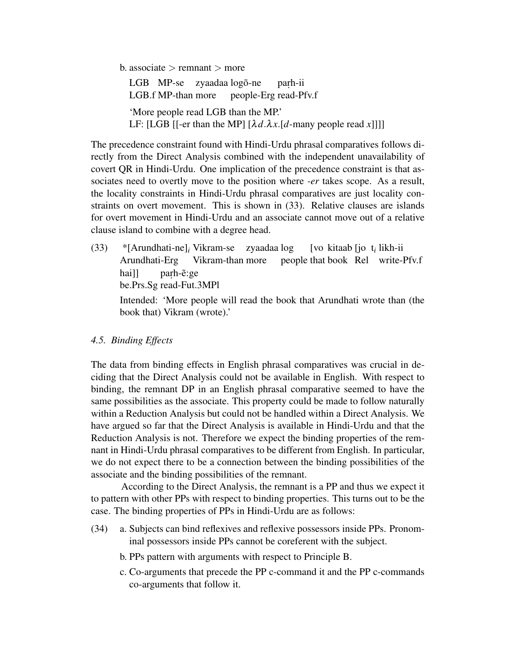b. associate  $>$  remnant  $>$  more

LGB MP-se zyaadaa logõ-ne LGB.f MP-than more people-Erg read-Pfv.f parh-ii 'More people read LGB than the MP.' LF: [LGB [[-er than the MP]  $[\lambda d.\lambda x.[d$ -many people read *x*]]]]

The precedence constraint found with Hindi-Urdu phrasal comparatives follows directly from the Direct Analysis combined with the independent unavailability of covert QR in Hindi-Urdu. One implication of the precedence constraint is that associates need to overtly move to the position where *-er* takes scope. As a result, the locality constraints in Hindi-Urdu phrasal comparatives are just locality constraints on overt movement. This is shown in (33). Relative clauses are islands for overt movement in Hindi-Urdu and an associate cannot move out of a relative clause island to combine with a degree head.

(33) \*[Arundhati-ne]*<sup>i</sup>* Vikram-se zyaadaa log Arundhati-Erg Vikram-than more people that book Rel write-Pfv.f [vo kitaab [jo t*i* likh-ii hai]] be.Prs.Sg read-Fut.3MPl parh-e:ge

Intended: 'More people will read the book that Arundhati wrote than (the book that) Vikram (wrote).'

### *4.5. Binding Effects*

The data from binding effects in English phrasal comparatives was crucial in deciding that the Direct Analysis could not be available in English. With respect to binding, the remnant DP in an English phrasal comparative seemed to have the same possibilities as the associate. This property could be made to follow naturally within a Reduction Analysis but could not be handled within a Direct Analysis. We have argued so far that the Direct Analysis is available in Hindi-Urdu and that the Reduction Analysis is not. Therefore we expect the binding properties of the remnant in Hindi-Urdu phrasal comparatives to be different from English. In particular, we do not expect there to be a connection between the binding possibilities of the associate and the binding possibilities of the remnant.

According to the Direct Analysis, the remnant is a PP and thus we expect it to pattern with other PPs with respect to binding properties. This turns out to be the case. The binding properties of PPs in Hindi-Urdu are as follows:

- (34) a. Subjects can bind reflexives and reflexive possessors inside PPs. Pronominal possessors inside PPs cannot be coreferent with the subject.
	- b. PPs pattern with arguments with respect to Principle B.
	- c. Co-arguments that precede the PP c-command it and the PP c-commands co-arguments that follow it.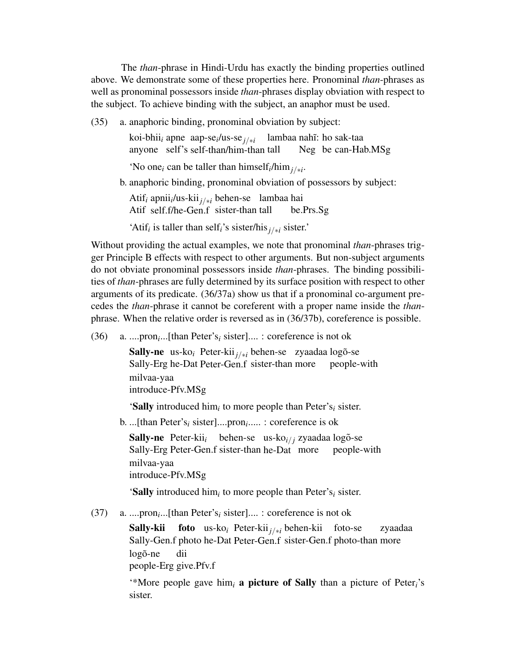The *than*-phrase in Hindi-Urdu has exactly the binding properties outlined above. We demonstrate some of these properties here. Pronominal *than*-phrases as well as pronominal possessors inside *than*-phrases display obviation with respect to the subject. To achieve binding with the subject, an anaphor must be used.

(35) a. anaphoric binding, pronominal obviation by subject:

koi-bhii<sub>*i*</sub> apne aap-se<sub>i</sub>/us-se<sub>j/∗i</sub> lambaa nahĩ: ho sak-taa anyone self's self-than/him-than tall Neg be can-Hab.MSg

'No one<sub>*i*</sub> can be taller than himself<sub>*i*</sub>/him<sub>*j/\*i*</sub>.

b. anaphoric binding, pronominal obviation of possessors by subject:

Atif*<sup>i</sup>* apnii*<sup>i</sup>* /us-kii*j*/∗*<sup>i</sup>* behen-se lambaa hai Atif self.f/he-Gen.f sister-than tall be.Prs.Sg

'Atif*<sup>i</sup>* is taller than self*i*'s sister/his*j*/∗*<sup>i</sup>* sister.'

Without providing the actual examples, we note that pronominal *than*-phrases trigger Principle B effects with respect to other arguments. But non-subject arguments do not obviate pronominal possessors inside *than*-phrases. The binding possibilities of *than*-phrases are fully determined by its surface position with respect to other arguments of its predicate. (36/37a) show us that if a pronominal co-argument precedes the *than*-phrase it cannot be coreferent with a proper name inside the *than*phrase. When the relative order is reversed as in (36/37b), coreference is possible.

(36) a. ....pron*<sup>i</sup>* ...[than Peter's*<sup>i</sup>* sister].... : coreference is not ok

**Sally-ne** us-ko<sub>i</sub> Peter-kii<sub>j/∗*i*</sub> behen-se zyaadaa logõ-se Sally-Erg he-Dat Peter-Gen.f sister-than more people-with milvaa-yaa introduce-Pfv.MSg

'Sally introduced him*<sup>i</sup>* to more people than Peter's*<sup>i</sup>* sister.

b. ...[than Peter's*<sup>i</sup>* sister]....pron*<sup>i</sup>* ..... : coreference is ok

Sally-ne Peter-kii<sub>i</sub> behen-se us-ko<sub>i/j</sub> zyaadaa logõ-se Sally-Erg Peter-Gen.f sister-than he-Dat more people-with milvaa-yaa introduce-Pfv.MSg

'Sally introduced him*<sup>i</sup>* to more people than Peter's*<sup>i</sup>* sister.

(37) a. ....pron*<sup>i</sup>* ...[than Peter's*<sup>i</sup>* sister].... : coreference is not ok

Sally-kii Sally-Gen.f photo he-Dat Peter-Gen.f sister-Gen.f photo-than more foto us-ko*<sup>i</sup>* Peter-kii*j*/∗*<sup>i</sup>* behen-kii foto-se zyaadaa  $log\tilde{o}$ -ne people-Erg give.Pfv.f dii

'\*More people gave him*<sup>i</sup>* a picture of Sally than a picture of Peter*i*'s sister.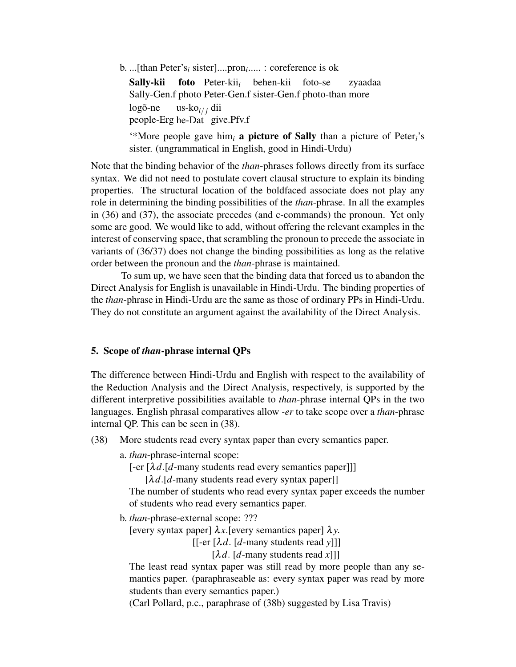b. ...[than Peter's*<sup>i</sup>* sister]....pron*<sup>i</sup>* ..... : coreference is ok

Sally-kii Sally-Gen.f photo Peter-Gen.f sister-Gen.f photo-than more foto Peter-kii*<sup>i</sup>* behen-kii foto-se zyaadaa  $log\tilde{o}$ -ne people-Erg he-Dat give.Pfv.f us-ko*i*/ *<sup>j</sup>* dii

'\*More people gave him*<sup>i</sup>* a picture of Sally than a picture of Peter*i*'s sister. (ungrammatical in English, good in Hindi-Urdu)

Note that the binding behavior of the *than*-phrases follows directly from its surface syntax. We did not need to postulate covert clausal structure to explain its binding properties. The structural location of the boldfaced associate does not play any role in determining the binding possibilities of the *than*-phrase. In all the examples in (36) and (37), the associate precedes (and c-commands) the pronoun. Yet only some are good. We would like to add, without offering the relevant examples in the interest of conserving space, that scrambling the pronoun to precede the associate in variants of (36/37) does not change the binding possibilities as long as the relative order between the pronoun and the *than*-phrase is maintained.

To sum up, we have seen that the binding data that forced us to abandon the Direct Analysis for English is unavailable in Hindi-Urdu. The binding properties of the *than*-phrase in Hindi-Urdu are the same as those of ordinary PPs in Hindi-Urdu. They do not constitute an argument against the availability of the Direct Analysis.

### 5. Scope of *than*-phrase internal QPs

The difference between Hindi-Urdu and English with respect to the availability of the Reduction Analysis and the Direct Analysis, respectively, is supported by the different interpretive possibilities available to *than*-phrase internal QPs in the two languages. English phrasal comparatives allow *-er* to take scope over a *than*-phrase internal QP. This can be seen in (38).

- (38) More students read every syntax paper than every semantics paper.
	- a. *than*-phrase-internal scope:

[-er [λ*d*.[*d*-many students read every semantics paper]]]

 $[\lambda d$ .[*d*-many students read every syntax paper]]

The number of students who read every syntax paper exceeds the number of students who read every semantics paper.

b. *than*-phrase-external scope: ???

[every syntax paper]  $\lambda x$ . [every semantics paper]  $\lambda y$ .

[[-er [λ*d*. [*d*-many students read *y*]]]

 $[\lambda d. [d$ -many students read *x*]]]

The least read syntax paper was still read by more people than any semantics paper. (paraphraseable as: every syntax paper was read by more students than every semantics paper.)

(Carl Pollard, p.c., paraphrase of (38b) suggested by Lisa Travis)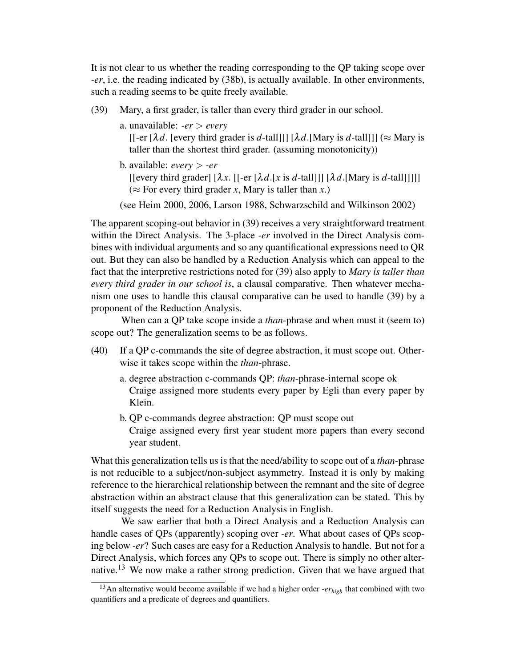It is not clear to us whether the reading corresponding to the QP taking scope over *-er*, i.e. the reading indicated by (38b), is actually available. In other environments, such a reading seems to be quite freely available.

(39) Mary, a first grader, is taller than every third grader in our school.

a. unavailable: *-er* > *every*

[[-er  $[\lambda d]$ . [every third grader is *d*-tall]]]  $[\lambda d]$ .[Mary is *d*-tall]]] ( $\approx$  Mary is taller than the shortest third grader. (assuming monotonicity))

b. available: *every* > *-er*

 $\left[$ [every third grader]  $\left[ \lambda x \right]$ .  $\left[ \left[ -e \right] \left[ \lambda d \right]$ .  $\left[ x \right]$  is *d*-tall  $\left[ \left[ \lambda d \right] \right]$ .  $\left[ \left[ \lambda d \right]$ .  $\left[ \left[ \left[ \lambda d \right] \right] \right]$ ( $\approx$  For every third grader *x*, Mary is taller than *x*.)

(see Heim 2000, 2006, Larson 1988, Schwarzschild and Wilkinson 2002)

The apparent scoping-out behavior in (39) receives a very straightforward treatment within the Direct Analysis. The 3-place *-er* involved in the Direct Analysis combines with individual arguments and so any quantificational expressions need to QR out. But they can also be handled by a Reduction Analysis which can appeal to the fact that the interpretive restrictions noted for (39) also apply to *Mary is taller than every third grader in our school is*, a clausal comparative. Then whatever mechanism one uses to handle this clausal comparative can be used to handle (39) by a proponent of the Reduction Analysis.

When can a QP take scope inside a *than*-phrase and when must it (seem to) scope out? The generalization seems to be as follows.

- (40) If a QP c-commands the site of degree abstraction, it must scope out. Otherwise it takes scope within the *than*-phrase.
	- a. degree abstraction c-commands QP: *than*-phrase-internal scope ok Craige assigned more students every paper by Egli than every paper by Klein.
	- b. QP c-commands degree abstraction: QP must scope out Craige assigned every first year student more papers than every second year student.

What this generalization tells us is that the need/ability to scope out of a *than*-phrase is not reducible to a subject/non-subject asymmetry. Instead it is only by making reference to the hierarchical relationship between the remnant and the site of degree abstraction within an abstract clause that this generalization can be stated. This by itself suggests the need for a Reduction Analysis in English.

We saw earlier that both a Direct Analysis and a Reduction Analysis can handle cases of QPs (apparently) scoping over *-er*. What about cases of QPs scoping below *-er*? Such cases are easy for a Reduction Analysis to handle. But not for a Direct Analysis, which forces any QPs to scope out. There is simply no other alternative.<sup>13</sup> We now make a rather strong prediction. Given that we have argued that

<sup>13</sup>An alternative would become available if we had a higher order *-erhigh* that combined with two quantifiers and a predicate of degrees and quantifiers.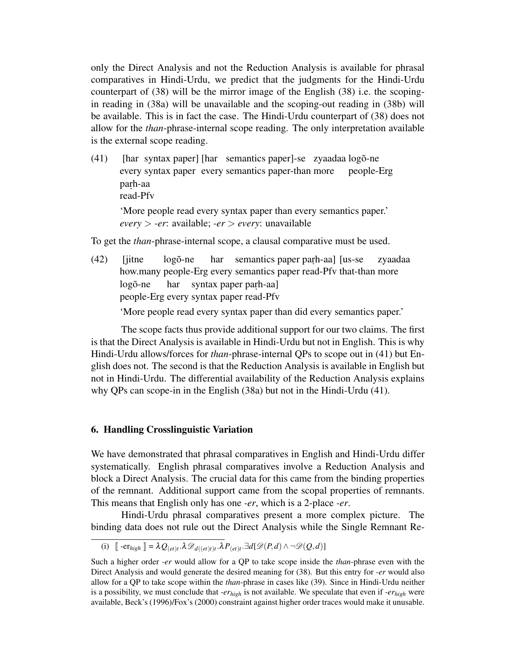only the Direct Analysis and not the Reduction Analysis is available for phrasal comparatives in Hindi-Urdu, we predict that the judgments for the Hindi-Urdu counterpart of (38) will be the mirror image of the English (38) i.e. the scopingin reading in (38a) will be unavailable and the scoping-out reading in (38b) will be available. This is in fact the case. The Hindi-Urdu counterpart of (38) does not allow for the *than*-phrase-internal scope reading. The only interpretation available is the external scope reading.

 $(41)$ every syntax paper every semantics paper-than more syntax paper] [har semantics paper]-se zyaadaa logõ-ne people-Erg parh-aa read-Pfv 'More people read every syntax paper than every semantics paper.' *every* > *-er*: available; *-er* > *every*: unavailable

To get the *than*-phrase-internal scope, a clausal comparative must be used.

 $(42)$  [jitne] how.many people-Erg every semantics paper read-Pfv that-than more  $log\tilde{o}$ -ne har semantics paper parh-aa] [us-se zyaadaa  $log\tilde{o}$ -ne people-Erg every syntax paper read-Pfv har syntax paper parh-aa]

'More people read every syntax paper than did every semantics paper.'

The scope facts thus provide additional support for our two claims. The first is that the Direct Analysis is available in Hindi-Urdu but not in English. This is why Hindi-Urdu allows/forces for *than*-phrase-internal QPs to scope out in (41) but English does not. The second is that the Reduction Analysis is available in English but not in Hindi-Urdu. The differential availability of the Reduction Analysis explains why QPs can scope-in in the English (38a) but not in the Hindi-Urdu (41).

### 6. Handling Crosslinguistic Variation

We have demonstrated that phrasal comparatives in English and Hindi-Urdu differ systematically. English phrasal comparatives involve a Reduction Analysis and block a Direct Analysis. The crucial data for this came from the binding properties of the remnant. Additional support came from the scopal properties of remnants. This means that English only has one *-er*, which is a 2-place *-er*.

Hindi-Urdu phrasal comparatives present a more complex picture. The binding data does not rule out the Direct Analysis while the Single Remnant Re-

<sup>(</sup>i)  $\left[ \right. -e\mathbf{r}_{high} \right] = \lambda Q_{(et)t} \cdot \lambda \mathcal{D}_{d((et)t)t} \cdot \lambda P_{(et)t} \cdot \exists d[\mathcal{D}(P,d) \wedge \neg \mathcal{D}(Q,d)]$ 

Such a higher order *-er* would allow for a QP to take scope inside the *than*-phrase even with the Direct Analysis and would generate the desired meaning for (38). But this entry for *-er* would also allow for a QP to take scope within the *than*-phrase in cases like (39). Since in Hindi-Urdu neither is a possibility, we must conclude that *-erhigh* is not available. We speculate that even if *-erhigh* were available, Beck's (1996)/Fox's (2000) constraint against higher order traces would make it unusable.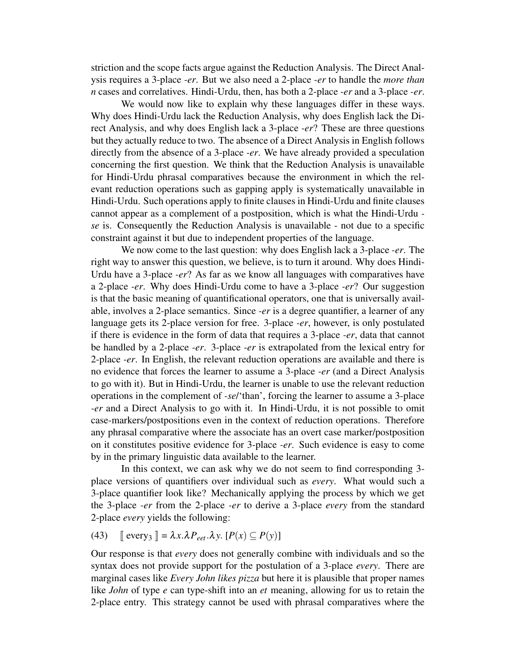striction and the scope facts argue against the Reduction Analysis. The Direct Analysis requires a 3-place *-er*. But we also need a 2-place *-er* to handle the *more than n* cases and correlatives. Hindi-Urdu, then, has both a 2-place *-er* and a 3-place *-er*.

We would now like to explain why these languages differ in these ways. Why does Hindi-Urdu lack the Reduction Analysis, why does English lack the Direct Analysis, and why does English lack a 3-place *-er*? These are three questions but they actually reduce to two. The absence of a Direct Analysis in English follows directly from the absence of a 3-place *-er*. We have already provided a speculation concerning the first question. We think that the Reduction Analysis is unavailable for Hindi-Urdu phrasal comparatives because the environment in which the relevant reduction operations such as gapping apply is systematically unavailable in Hindi-Urdu. Such operations apply to finite clauses in Hindi-Urdu and finite clauses cannot appear as a complement of a postposition, which is what the Hindi-Urdu  *se* is. Consequently the Reduction Analysis is unavailable - not due to a specific constraint against it but due to independent properties of the language.

We now come to the last question: why does English lack a 3-place *-er*. The right way to answer this question, we believe, is to turn it around. Why does Hindi-Urdu have a 3-place *-er*? As far as we know all languages with comparatives have a 2-place *-er*. Why does Hindi-Urdu come to have a 3-place *-er*? Our suggestion is that the basic meaning of quantificational operators, one that is universally available, involves a 2-place semantics. Since *-er* is a degree quantifier, a learner of any language gets its 2-place version for free. 3-place *-er*, however, is only postulated if there is evidence in the form of data that requires a 3-place *-er*, data that cannot be handled by a 2-place *-er*. 3-place *-er* is extrapolated from the lexical entry for 2-place *-er*. In English, the relevant reduction operations are available and there is no evidence that forces the learner to assume a 3-place *-er* (and a Direct Analysis to go with it). But in Hindi-Urdu, the learner is unable to use the relevant reduction operations in the complement of *-se*/'than', forcing the learner to assume a 3-place *-er* and a Direct Analysis to go with it. In Hindi-Urdu, it is not possible to omit case-markers/postpositions even in the context of reduction operations. Therefore any phrasal comparative where the associate has an overt case marker/postposition on it constitutes positive evidence for 3-place *-er*. Such evidence is easy to come by in the primary linguistic data available to the learner.

In this context, we can ask why we do not seem to find corresponding 3 place versions of quantifiers over individual such as *every*. What would such a 3-place quantifier look like? Mechanically applying the process by which we get the 3-place *-er* from the 2-place *-er* to derive a 3-place *every* from the standard 2-place *every* yields the following:

(43)  $\mathbb{E} \text{every}_3 \mathbb{I} = \lambda x. \lambda P_{\text{eet}}.\lambda y. [P(x) \subseteq P(y)]$ 

Our response is that *every* does not generally combine with individuals and so the syntax does not provide support for the postulation of a 3-place *every*. There are marginal cases like *Every John likes pizza* but here it is plausible that proper names like *John* of type *e* can type-shift into an *et* meaning, allowing for us to retain the 2-place entry. This strategy cannot be used with phrasal comparatives where the